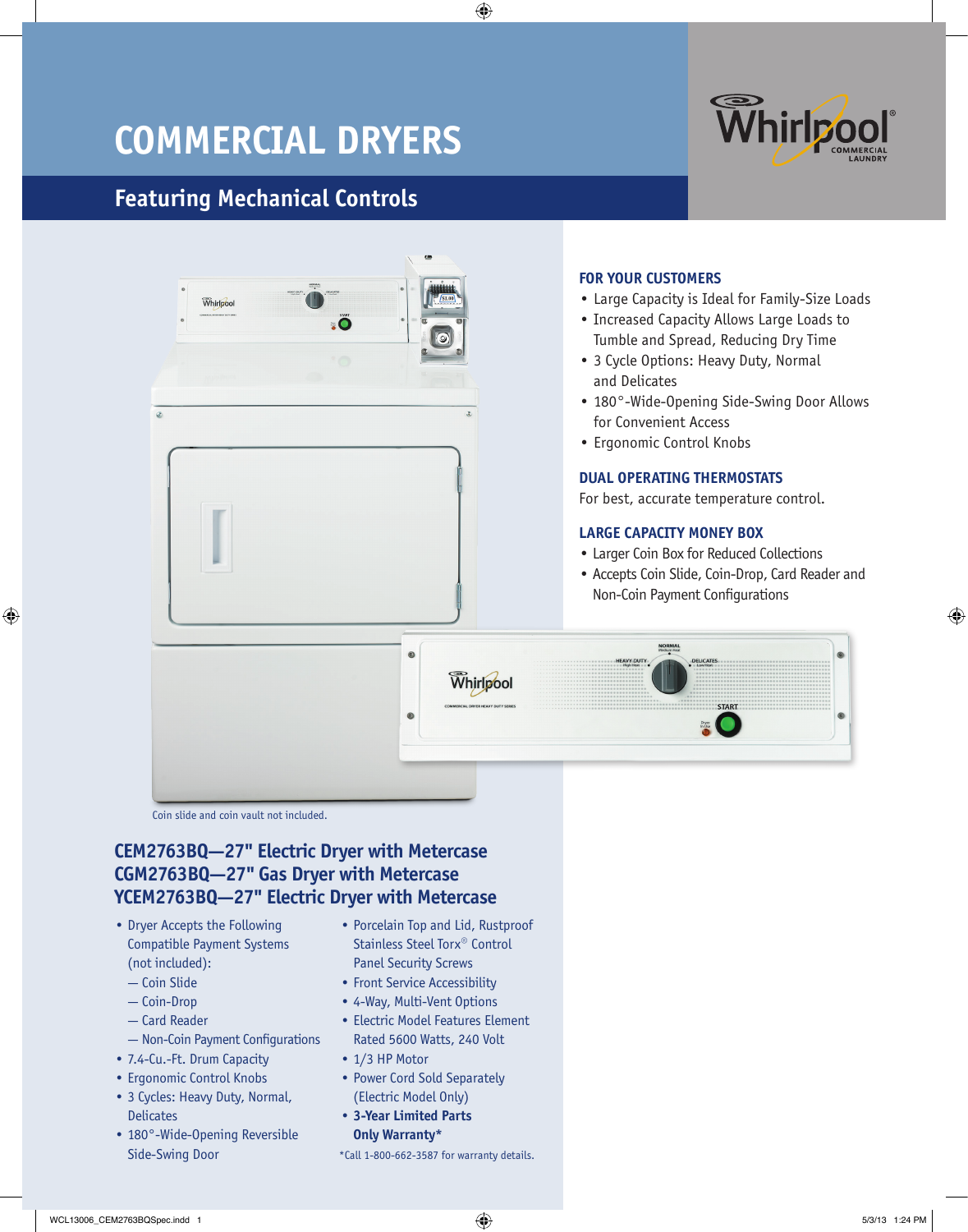# **Commercial Dryers**

## **Featuring Mechanical Controls**





- 
- Coin-Drop
- Card Reader
- Non-Coin Payment Configurations
- 7.4-Cu.-Ft. Drum Capacity
- Ergonomic Control Knobs
- 3 Cycles: Heavy Duty, Normal, **Delicates**
- 180°-Wide-Opening Reversible Side-Swing Door
- 
- 4-Way, Multi-Vent Options
- Electric Model Features Element Rated 5600 Watts, 240 Volt
- 1/3 HP Motor
- Power Cord Sold Separately (Electric Model Only)
- **3-Year Limited Parts Only Warranty\***

\*Call 1-800-662-3587 for warranty details.